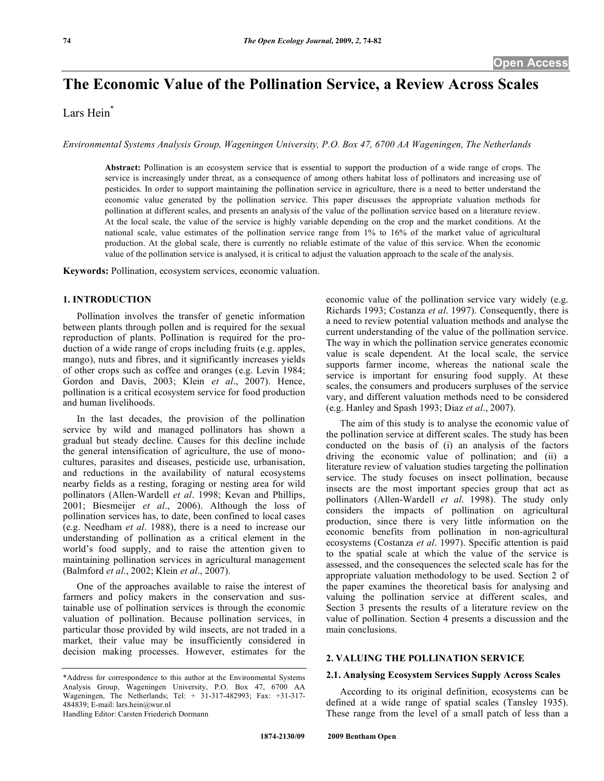# **The Economic Value of the Pollination Service, a Review Across Scales**

# Lars Hein<sup>\*</sup>

*Environmental Systems Analysis Group, Wageningen University, P.O. Box 47, 6700 AA Wageningen, The Netherlands* 

**Abstract:** Pollination is an ecosystem service that is essential to support the production of a wide range of crops. The service is increasingly under threat, as a consequence of among others habitat loss of pollinators and increasing use of pesticides. In order to support maintaining the pollination service in agriculture, there is a need to better understand the economic value generated by the pollination service. This paper discusses the appropriate valuation methods for pollination at different scales, and presents an analysis of the value of the pollination service based on a literature review. At the local scale, the value of the service is highly variable depending on the crop and the market conditions. At the national scale, value estimates of the pollination service range from 1% to 16% of the market value of agricultural production. At the global scale, there is currently no reliable estimate of the value of this service. When the economic value of the pollination service is analysed, it is critical to adjust the valuation approach to the scale of the analysis.

**Keywords:** Pollination, ecosystem services, economic valuation.

#### **1. INTRODUCTION**

 Pollination involves the transfer of genetic information between plants through pollen and is required for the sexual reproduction of plants. Pollination is required for the production of a wide range of crops including fruits (e.g. apples, mango), nuts and fibres, and it significantly increases yields of other crops such as coffee and oranges (e.g. Levin 1984; Gordon and Davis, 2003; Klein *et al*., 2007). Hence, pollination is a critical ecosystem service for food production and human livelihoods.

 In the last decades, the provision of the pollination service by wild and managed pollinators has shown a gradual but steady decline. Causes for this decline include the general intensification of agriculture, the use of monocultures, parasites and diseases, pesticide use, urbanisation, and reductions in the availability of natural ecosystems nearby fields as a resting, foraging or nesting area for wild pollinators (Allen-Wardell *et al*. 1998; Kevan and Phillips, 2001; Biesmeijer *et al*., 2006). Although the loss of pollination services has, to date, been confined to local cases (e.g. Needham *et al*. 1988), there is a need to increase our understanding of pollination as a critical element in the world's food supply, and to raise the attention given to maintaining pollination services in agricultural management (Balmford *et al*., 2002; Klein *et al*., 2007).

 One of the approaches available to raise the interest of farmers and policy makers in the conservation and sustainable use of pollination services is through the economic valuation of pollination. Because pollination services, in particular those provided by wild insects, are not traded in a market, their value may be insufficiently considered in decision making processes. However, estimates for the

economic value of the pollination service vary widely (e.g. Richards 1993; Costanza *et al*. 1997). Consequently, there is a need to review potential valuation methods and analyse the current understanding of the value of the pollination service. The way in which the pollination service generates economic value is scale dependent. At the local scale, the service supports farmer income, whereas the national scale the service is important for ensuring food supply. At these scales, the consumers and producers surpluses of the service vary, and different valuation methods need to be considered (e.g. Hanley and Spash 1993; Diaz *et al*., 2007).

 The aim of this study is to analyse the economic value of the pollination service at different scales. The study has been conducted on the basis of (i) an analysis of the factors driving the economic value of pollination; and (ii) a literature review of valuation studies targeting the pollination service. The study focuses on insect pollination, because insects are the most important species group that act as pollinators (Allen-Wardell *et al*. 1998). The study only considers the impacts of pollination on agricultural production, since there is very little information on the economic benefits from pollination in non-agricultural ecosystems (Costanza *et al*. 1997). Specific attention is paid to the spatial scale at which the value of the service is assessed, and the consequences the selected scale has for the appropriate valuation methodology to be used. Section 2 of the paper examines the theoretical basis for analysing and valuing the pollination service at different scales, and Section 3 presents the results of a literature review on the value of pollination. Section 4 presents a discussion and the main conclusions.

#### **2. VALUING THE POLLINATION SERVICE**

#### **2.1. Analysing Ecosystem Services Supply Across Scales**

 According to its original definition, ecosystems can be defined at a wide range of spatial scales (Tansley 1935). These range from the level of a small patch of less than a

<sup>\*</sup>Address for correspondence to this author at the Environmental Systems Analysis Group, Wageningen University, P.O. Box 47, 6700 AA Wageningen, The Netherlands; Tel: + 31-317-482993; Fax: +31-317- 484839; E-mail: lars.hein@wur.nl Handling Editor: Carsten Friederich Dormann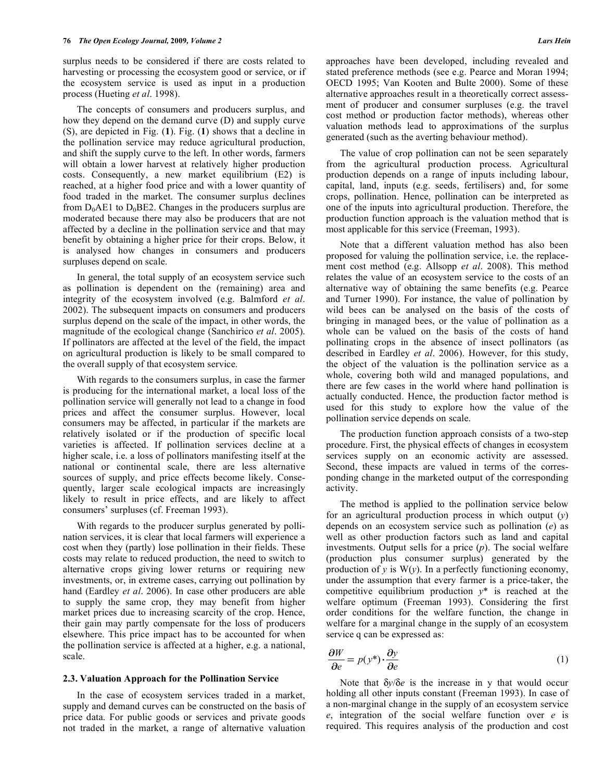surplus needs to be considered if there are costs related to harvesting or processing the ecosystem good or service, or if the ecosystem service is used as input in a production process (Hueting *et al*. 1998).

 The concepts of consumers and producers surplus, and how they depend on the demand curve (D) and supply curve (S), are depicted in Fig. (**1**). Fig. (**1**) shows that a decline in the pollination service may reduce agricultural production, and shift the supply curve to the left. In other words, farmers will obtain a lower harvest at relatively higher production costs. Consequently, a new market equilibrium (E2) is reached, at a higher food price and with a lower quantity of food traded in the market. The consumer surplus declines from  $D_0AE1$  to  $D_0BE2$ . Changes in the producers surplus are moderated because there may also be producers that are not affected by a decline in the pollination service and that may benefit by obtaining a higher price for their crops. Below, it is analysed how changes in consumers and producers surpluses depend on scale.

 In general, the total supply of an ecosystem service such as pollination is dependent on the (remaining) area and integrity of the ecosystem involved (e.g. Balmford *et al*. 2002). The subsequent impacts on consumers and producers surplus depend on the scale of the impact, in other words, the magnitude of the ecological change (Sanchirico *et al*. 2005). If pollinators are affected at the level of the field, the impact on agricultural production is likely to be small compared to the overall supply of that ecosystem service.

 With regards to the consumers surplus, in case the farmer is producing for the international market, a local loss of the pollination service will generally not lead to a change in food prices and affect the consumer surplus. However, local consumers may be affected, in particular if the markets are relatively isolated or if the production of specific local varieties is affected. If pollination services decline at a higher scale, i.e. a loss of pollinators manifesting itself at the national or continental scale, there are less alternative sources of supply, and price effects become likely. Consequently, larger scale ecological impacts are increasingly likely to result in price effects, and are likely to affect consumers' surpluses (cf. Freeman 1993).

 With regards to the producer surplus generated by pollination services, it is clear that local farmers will experience a cost when they (partly) lose pollination in their fields. These costs may relate to reduced production, the need to switch to alternative crops giving lower returns or requiring new investments, or, in extreme cases, carrying out pollination by hand (Eardley *et al*. 2006). In case other producers are able to supply the same crop, they may benefit from higher market prices due to increasing scarcity of the crop. Hence, their gain may partly compensate for the loss of producers elsewhere. This price impact has to be accounted for when the pollination service is affected at a higher, e.g. a national, scale.

#### **2.3. Valuation Approach for the Pollination Service**

 In the case of ecosystem services traded in a market, supply and demand curves can be constructed on the basis of price data. For public goods or services and private goods not traded in the market, a range of alternative valuation

approaches have been developed, including revealed and stated preference methods (see e.g. Pearce and Moran 1994; OECD 1995; Van Kooten and Bulte 2000). Some of these alternative approaches result in a theoretically correct assessment of producer and consumer surpluses (e.g. the travel cost method or production factor methods), whereas other valuation methods lead to approximations of the surplus generated (such as the averting behaviour method).

 The value of crop pollination can not be seen separately from the agricultural production process. Agricultural production depends on a range of inputs including labour, capital, land, inputs (e.g. seeds, fertilisers) and, for some crops, pollination. Hence, pollination can be interpreted as one of the inputs into agricultural production. Therefore, the production function approach is the valuation method that is most applicable for this service (Freeman, 1993).

 Note that a different valuation method has also been proposed for valuing the pollination service, i.e. the replacement cost method (e.g. Allsopp *et al*. 2008). This method relates the value of an ecosystem service to the costs of an alternative way of obtaining the same benefits (e.g. Pearce and Turner 1990). For instance, the value of pollination by wild bees can be analysed on the basis of the costs of bringing in managed bees, or the value of pollination as a whole can be valued on the basis of the costs of hand pollinating crops in the absence of insect pollinators (as described in Eardley *et al*. 2006). However, for this study, the object of the valuation is the pollination service as a whole, covering both wild and managed populations, and there are few cases in the world where hand pollination is actually conducted. Hence, the production factor method is used for this study to explore how the value of the pollination service depends on scale.

 The production function approach consists of a two-step procedure. First, the physical effects of changes in ecosystem services supply on an economic activity are assessed. Second, these impacts are valued in terms of the corresponding change in the marketed output of the corresponding activity.

 The method is applied to the pollination service below for an agricultural production process in which output (*y*) depends on an ecosystem service such as pollination (*e*) as well as other production factors such as land and capital investments. Output sells for a price (*p*). The social welfare (production plus consumer surplus) generated by the production of *y* is W(*y*). In a perfectly functioning economy, under the assumption that every farmer is a price-taker, the competitive equilibrium production *y*\* is reached at the welfare optimum (Freeman 1993). Considering the first order conditions for the welfare function, the change in welfare for a marginal change in the supply of an ecosystem service q can be expressed as:

$$
\frac{\partial W}{\partial e} = p(y^*) \cdot \frac{\partial y}{\partial e}
$$
 (1)

Note that  $\delta y / \delta e$  is the increase in y that would occur holding all other inputs constant (Freeman 1993). In case of a non-marginal change in the supply of an ecosystem service *e*, integration of the social welfare function over *e* is required. This requires analysis of the production and cost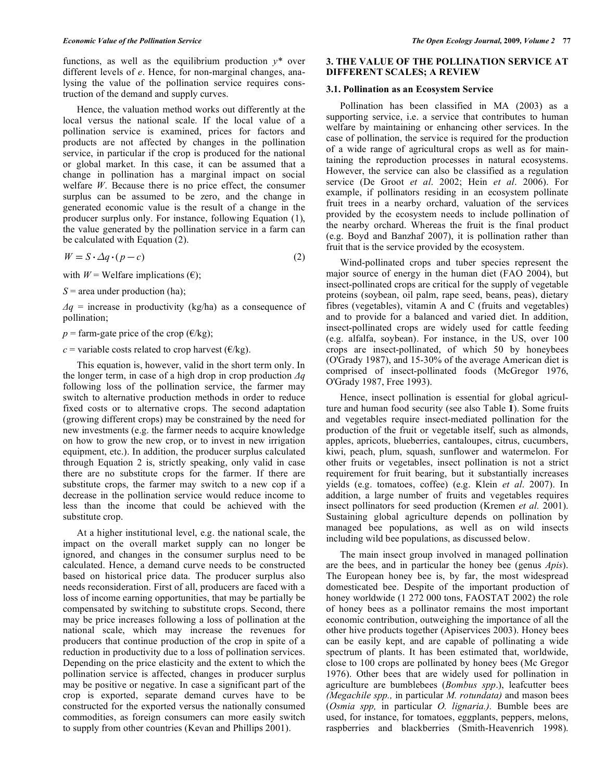functions, as well as the equilibrium production  $y^*$  over different levels of *e*. Hence, for non-marginal changes, analysing the value of the pollination service requires construction of the demand and supply curves.

 Hence, the valuation method works out differently at the local versus the national scale. If the local value of a pollination service is examined, prices for factors and products are not affected by changes in the pollination service, in particular if the crop is produced for the national or global market. In this case, it can be assumed that a change in pollination has a marginal impact on social welfare *W*. Because there is no price effect, the consumer surplus can be assumed to be zero, and the change in generated economic value is the result of a change in the producer surplus only. For instance, following Equation (1), the value generated by the pollination service in a farm can be calculated with Equation (2).

$$
W = S \cdot \Delta q \cdot (p - c) \tag{2}
$$

with  $W =$  Welfare implications  $(\epsilon)$ ;

*S* = area under production (ha);

 $\Delta q$  = increase in productivity (kg/ha) as a consequence of pollination;

 $p =$  farm-gate price of the crop ( $\epsilon$ /kg);

*c* = variable costs related to crop harvest ( $\epsilon$ /kg).

 This equation is, however, valid in the short term only. In the longer term, in case of a high drop in crop production  $\Delta q$ following loss of the pollination service, the farmer may switch to alternative production methods in order to reduce fixed costs or to alternative crops. The second adaptation (growing different crops) may be constrained by the need for new investments (e.g. the farmer needs to acquire knowledge on how to grow the new crop, or to invest in new irrigation equipment, etc.). In addition, the producer surplus calculated through Equation 2 is, strictly speaking, only valid in case there are no substitute crops for the farmer. If there are substitute crops, the farmer may switch to a new cop if a decrease in the pollination service would reduce income to less than the income that could be achieved with the substitute crop.

 At a higher institutional level, e.g. the national scale, the impact on the overall market supply can no longer be ignored, and changes in the consumer surplus need to be calculated. Hence, a demand curve needs to be constructed based on historical price data. The producer surplus also needs reconsideration. First of all, producers are faced with a loss of income earning opportunities, that may be partially be compensated by switching to substitute crops. Second, there may be price increases following a loss of pollination at the national scale, which may increase the revenues for producers that continue production of the crop in spite of a reduction in productivity due to a loss of pollination services. Depending on the price elasticity and the extent to which the pollination service is affected, changes in producer surplus may be positive or negative. In case a significant part of the crop is exported, separate demand curves have to be constructed for the exported versus the nationally consumed commodities, as foreign consumers can more easily switch to supply from other countries (Kevan and Phillips 2001).

### **3. THE VALUE OF THE POLLINATION SERVICE AT DIFFERENT SCALES; A REVIEW**

#### **3.1. Pollination as an Ecosystem Service**

 Pollination has been classified in MA (2003) as a supporting service, i.e. a service that contributes to human welfare by maintaining or enhancing other services. In the case of pollination, the service is required for the production of a wide range of agricultural crops as well as for maintaining the reproduction processes in natural ecosystems. However, the service can also be classified as a regulation service (De Groot *et al*. 2002; Hein *et al*. 2006). For example, if pollinators residing in an ecosystem pollinate fruit trees in a nearby orchard, valuation of the services provided by the ecosystem needs to include pollination of the nearby orchard. Whereas the fruit is the final product (e.g. Boyd and Banzhaf 2007), it is pollination rather than fruit that is the service provided by the ecosystem.

 Wind-pollinated crops and tuber species represent the major source of energy in the human diet (FAO 2004), but insect-pollinated crops are critical for the supply of vegetable proteins (soybean, oil palm, rape seed, beans, peas), dietary fibres (vegetables), vitamin A and C (fruits and vegetables) and to provide for a balanced and varied diet. In addition, insect-pollinated crops are widely used for cattle feeding (e.g. alfalfa, soybean). For instance, in the US, over 100 crops are insect-pollinated, of which 50 by honeybees (O'Grady 1987), and 15-30% of the average American diet is comprised of insect-pollinated foods (McGregor 1976, O'Grady 1987, Free 1993).

 Hence, insect pollination is essential for global agriculture and human food security (see also Table **1**). Some fruits and vegetables require insect-mediated pollination for the production of the fruit or vegetable itself, such as almonds, apples, apricots, blueberries, cantaloupes, citrus, cucumbers, kiwi, peach, plum, squash, sunflower and watermelon. For other fruits or vegetables, insect pollination is not a strict requirement for fruit bearing, but it substantially increases yields (e.g. tomatoes, coffee) (e.g. Klein *et al*. 2007). In addition, a large number of fruits and vegetables requires insect pollinators for seed production (Kremen *et al.* 2001). Sustaining global agriculture depends on pollination by managed bee populations, as well as on wild insects including wild bee populations, as discussed below.

 The main insect group involved in managed pollination are the bees, and in particular the honey bee (genus *Apis*). The European honey bee is, by far, the most widespread domesticated bee. Despite of the important production of honey worldwide (1 272 000 tons, FAOSTAT 2002) the role of honey bees as a pollinator remains the most important economic contribution, outweighing the importance of all the other hive products together (Apiservices 2003). Honey bees can be easily kept, and are capable of pollinating a wide spectrum of plants. It has been estimated that, worldwide, close to 100 crops are pollinated by honey bees (Mc Gregor 1976). Other bees that are widely used for pollination in agriculture are bumblebees (*Bombus spp*.), leafcutter bees *(Megachile spp.,* in particular *M. rotundata)* and mason bees (*Osmia spp,* in particular *O. lignaria.).* Bumble bees are used, for instance, for tomatoes, eggplants, peppers, melons, raspberries and blackberries (Smith-Heavenrich 1998).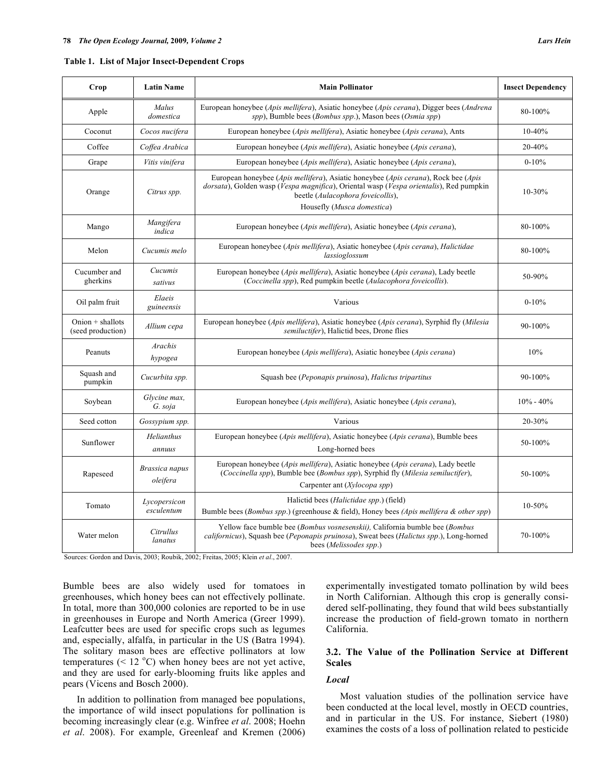|  | Table 1. List of Major Insect-Dependent Crops |
|--|-----------------------------------------------|
|  |                                               |

| Crop                                   | <b>Latin Name</b>          | <b>Main Pollinator</b>                                                                                                                                                                                            | <b>Insect Dependency</b> |
|----------------------------------------|----------------------------|-------------------------------------------------------------------------------------------------------------------------------------------------------------------------------------------------------------------|--------------------------|
| Apple                                  | Malus<br>domestica         | European honeybee (Apis mellifera), Asiatic honeybee (Apis cerana), Digger bees (Andrena<br>spp), Bumble bees (Bombus spp.), Mason bees (Osmia spp)                                                               | 80-100%                  |
| Coconut                                | Cocos nucifera             | European honeybee (Apis mellifera), Asiatic honeybee (Apis cerana), Ants                                                                                                                                          | 10-40%                   |
| Coffee                                 | Coffea Arabica             | European honeybee ( <i>Apis mellifera</i> ), Asiatic honeybee ( <i>Apis cerana</i> ),                                                                                                                             | 20-40%                   |
| Grape                                  | Vitis vinifera             | European honeybee (Apis mellifera), Asiatic honeybee (Apis cerana),                                                                                                                                               | $0-10%$                  |
| Orange                                 | Citrus spp.                | European honeybee (Apis mellifera), Asiatic honeybee (Apis cerana), Rock bee (Apis<br>dorsata), Golden wasp (Vespa magnifica), Oriental wasp (Vespa orientalis), Red pumpkin<br>beetle (Aulacophora foveicollis), | 10-30%                   |
|                                        |                            | Housefly (Musca domestica)                                                                                                                                                                                        |                          |
| Mango                                  | Mangifera<br>indica        | European honeybee (Apis mellifera), Asiatic honeybee (Apis cerana),                                                                                                                                               | 80-100%                  |
| Melon                                  | Cucumis melo               | European honeybee (Apis mellifera), Asiatic honeybee (Apis cerana), Halictidae<br>lassioglossum                                                                                                                   | 80-100%                  |
| Cucumber and<br>gherkins               | Cucumis                    | European honeybee (Apis mellifera), Asiatic honeybee (Apis cerana), Lady beetle<br>(Coccinella spp), Red pumpkin beetle (Aulacophora foveicollis).                                                                | 50-90%                   |
|                                        | sativus                    |                                                                                                                                                                                                                   |                          |
| Oil palm fruit                         | Elaeis<br>guineensis       | Various                                                                                                                                                                                                           | $0 - 10%$                |
| $Onion + shallow$<br>(seed production) | Allium cepa                | European honeybee (Apis mellifera), Asiatic honeybee (Apis cerana), Syrphid fly (Milesia<br>semiluctifer), Halictid bees, Drone flies                                                                             | 90-100%                  |
| Peanuts                                | Arachis<br>hypogea         | European honeybee (Apis mellifera), Asiatic honeybee (Apis cerana)                                                                                                                                                | 10%                      |
| Squash and<br>pumpkin                  | Cucurbita spp.             | Squash bee (Peponapis pruinosa), Halictus tripartitus                                                                                                                                                             | 90-100%                  |
| Soybean                                | Glycine max.<br>G. soja    | European honeybee ( <i>Apis mellifera</i> ), Asiatic honeybee ( <i>Apis cerana</i> ),                                                                                                                             | $10\% - 40\%$            |
| Seed cotton                            | Gossypium spp.             | Various                                                                                                                                                                                                           | 20-30%                   |
| Sunflower                              | Helianthus<br>annuus       | European honeybee (Apis mellifera), Asiatic honeybee (Apis cerana), Bumble bees<br>Long-horned bees                                                                                                               | 50-100%                  |
| Rapeseed                               | Brassica napus<br>oleifera | European honeybee (Apis mellifera), Asiatic honeybee (Apis cerana), Lady beetle<br>(Coccinella spp), Bumble bee (Bombus spp), Syrphid fly (Milesia semiluctifer),<br>Carpenter ant (Xylocopa spp)                 | 50-100%                  |
| Tomato                                 | Lycopersicon<br>esculentum | Halictid bees ( <i>Halictidae spp.</i> ) (field)<br>Bumble bees ( <i>Bombus spp.</i> ) (greenhouse & field), Honey bees <i>(Apis mellifera &amp; other spp</i> )                                                  | 10-50%                   |
| Water melon                            | Citrullus<br>lanatus       | Yellow face bumble bee (Bombus vosnesenskii), California bumble bee (Bombus<br>californicus), Squash bee (Peponapis pruinosa), Sweat bees (Halictus spp.), Long-horned<br>bees (Melissodes spp.)                  | 70-100%                  |

Sources: Gordon and Davis, 2003; Roubik, 2002; Freitas, 2005; Klein *et al*., 2007.

Bumble bees are also widely used for tomatoes in greenhouses, which honey bees can not effectively pollinate. In total, more than 300,000 colonies are reported to be in use in greenhouses in Europe and North America (Greer 1999). Leafcutter bees are used for specific crops such as legumes and, especially, alfalfa, in particular in the US (Batra 1994). The solitary mason bees are effective pollinators at low temperatures (<  $12 \text{ }^{\circ}$ C) when honey bees are not yet active, and they are used for early-blooming fruits like apples and pears (Vicens and Bosch 2000).

 In addition to pollination from managed bee populations, the importance of wild insect populations for pollination is becoming increasingly clear (e.g. Winfree *et al*. 2008; Hoehn *et al*. 2008). For example, Greenleaf and Kremen (2006) experimentally investigated tomato pollination by wild bees in North Californian. Although this crop is generally considered self-pollinating, they found that wild bees substantially increase the production of field-grown tomato in northern California.

# **3.2. The Value of the Pollination Service at Different Scales**

#### *Local*

 Most valuation studies of the pollination service have been conducted at the local level, mostly in OECD countries, and in particular in the US. For instance, Siebert (1980) examines the costs of a loss of pollination related to pesticide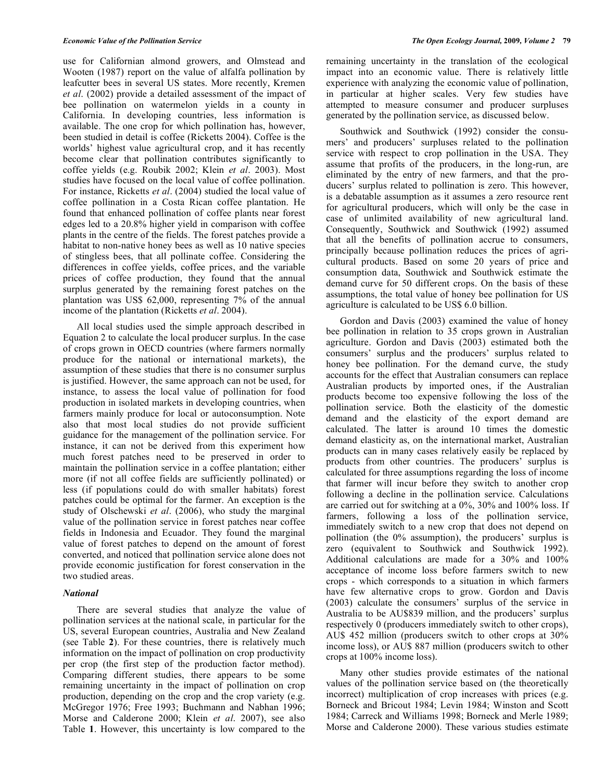use for Californian almond growers, and Olmstead and Wooten (1987) report on the value of alfalfa pollination by leafcutter bees in several US states. More recently, Kremen *et al*. (2002) provide a detailed assessment of the impact of bee pollination on watermelon yields in a county in California. In developing countries, less information is available. The one crop for which pollination has, however, been studied in detail is coffee (Ricketts 2004). Coffee is the worlds' highest value agricultural crop, and it has recently become clear that pollination contributes significantly to coffee yields (e.g. Roubik 2002; Klein *et al*. 2003). Most studies have focused on the local value of coffee pollination. For instance, Ricketts *et al*. (2004) studied the local value of coffee pollination in a Costa Rican coffee plantation. He found that enhanced pollination of coffee plants near forest edges led to a 20.8% higher yield in comparison with coffee plants in the centre of the fields. The forest patches provide a habitat to non-native honey bees as well as 10 native species of stingless bees, that all pollinate coffee. Considering the differences in coffee yields, coffee prices, and the variable prices of coffee production, they found that the annual surplus generated by the remaining forest patches on the plantation was US\$ 62,000, representing 7% of the annual income of the plantation (Ricketts *et al*. 2004).

 All local studies used the simple approach described in Equation 2 to calculate the local producer surplus. In the case of crops grown in OECD countries (where farmers normally produce for the national or international markets), the assumption of these studies that there is no consumer surplus is justified. However, the same approach can not be used, for instance, to assess the local value of pollination for food production in isolated markets in developing countries, when farmers mainly produce for local or autoconsumption. Note also that most local studies do not provide sufficient guidance for the management of the pollination service. For instance, it can not be derived from this experiment how much forest patches need to be preserved in order to maintain the pollination service in a coffee plantation; either more (if not all coffee fields are sufficiently pollinated) or less (if populations could do with smaller habitats) forest patches could be optimal for the farmer. An exception is the study of Olschewski *et al*. (2006), who study the marginal value of the pollination service in forest patches near coffee fields in Indonesia and Ecuador. They found the marginal value of forest patches to depend on the amount of forest converted, and noticed that pollination service alone does not provide economic justification for forest conservation in the two studied areas.

#### *National*

 There are several studies that analyze the value of pollination services at the national scale, in particular for the US, several European countries, Australia and New Zealand (see Table **2**). For these countries, there is relatively much information on the impact of pollination on crop productivity per crop (the first step of the production factor method). Comparing different studies, there appears to be some remaining uncertainty in the impact of pollination on crop production, depending on the crop and the crop variety (e.g. McGregor 1976; Free 1993; Buchmann and Nabhan 1996; Morse and Calderone 2000; Klein *et al*. 2007), see also Table **1**. However, this uncertainty is low compared to the

remaining uncertainty in the translation of the ecological impact into an economic value. There is relatively little experience with analyzing the economic value of pollination, in particular at higher scales. Very few studies have attempted to measure consumer and producer surpluses generated by the pollination service, as discussed below.

 Southwick and Southwick (1992) consider the consumers' and producers' surpluses related to the pollination service with respect to crop pollination in the USA. They assume that profits of the producers, in the long-run, are eliminated by the entry of new farmers, and that the producers' surplus related to pollination is zero. This however, is a debatable assumption as it assumes a zero resource rent for agricultural producers, which will only be the case in case of unlimited availability of new agricultural land. Consequently, Southwick and Southwick (1992) assumed that all the benefits of pollination accrue to consumers, principally because pollination reduces the prices of agricultural products. Based on some 20 years of price and consumption data, Southwick and Southwick estimate the demand curve for 50 different crops. On the basis of these assumptions, the total value of honey bee pollination for US agriculture is calculated to be US\$ 6.0 billion.

 Gordon and Davis (2003) examined the value of honey bee pollination in relation to 35 crops grown in Australian agriculture. Gordon and Davis (2003) estimated both the consumers' surplus and the producers' surplus related to honey bee pollination. For the demand curve, the study accounts for the effect that Australian consumers can replace Australian products by imported ones, if the Australian products become too expensive following the loss of the pollination service. Both the elasticity of the domestic demand and the elasticity of the export demand are calculated. The latter is around 10 times the domestic demand elasticity as, on the international market, Australian products can in many cases relatively easily be replaced by products from other countries. The producers' surplus is calculated for three assumptions regarding the loss of income that farmer will incur before they switch to another crop following a decline in the pollination service. Calculations are carried out for switching at a 0%, 30% and 100% loss. If farmers, following a loss of the pollination service, immediately switch to a new crop that does not depend on pollination (the 0% assumption), the producers' surplus is zero (equivalent to Southwick and Southwick 1992). Additional calculations are made for a 30% and 100% acceptance of income loss before farmers switch to new crops - which corresponds to a situation in which farmers have few alternative crops to grow. Gordon and Davis (2003) calculate the consumers' surplus of the service in Australia to be AU\$839 million, and the producers' surplus respectively 0 (producers immediately switch to other crops), AU\$ 452 million (producers switch to other crops at 30% income loss), or AU\$ 887 million (producers switch to other crops at 100% income loss).

 Many other studies provide estimates of the national values of the pollination service based on (the theoretically incorrect) multiplication of crop increases with prices (e.g. Borneck and Bricout 1984; Levin 1984; Winston and Scott 1984; Carreck and Williams 1998; Borneck and Merle 1989; Morse and Calderone 2000). These various studies estimate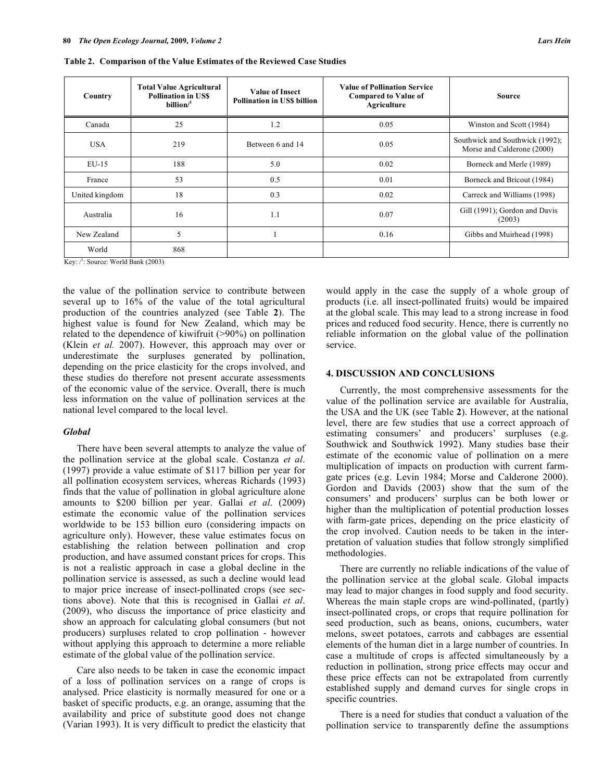**Table 2. Comparison of the Value Estimates of the Reviewed Case Studies** 

| Country        | <b>Total Value Agricultural</b><br><b>Pollination in USS</b><br>billion $/$ <sup>1</sup> | <b>Value of Insect</b><br><b>Pollination in USS billion</b> | <b>Value of Pollination Service</b><br><b>Compared to Value of</b><br>Agriculture | <b>Source</b>                                                 |
|----------------|------------------------------------------------------------------------------------------|-------------------------------------------------------------|-----------------------------------------------------------------------------------|---------------------------------------------------------------|
| Canada         | 25                                                                                       | 1.2                                                         | 0.05                                                                              | Winston and Scott (1984)                                      |
| <b>USA</b>     | 219                                                                                      | Between 6 and 14                                            | 0.05                                                                              | Southwick and Southwick (1992);<br>Morse and Calderone (2000) |
| $EU-15$        | 188                                                                                      | 5.0                                                         | 0.02                                                                              | Borneck and Merle (1989)                                      |
| France         | 53                                                                                       | 0.5                                                         | 0.01                                                                              | Borneck and Bricout (1984)                                    |
| United kingdom | 18                                                                                       | 0.3                                                         | 0.02                                                                              | Carreck and Williams (1998)                                   |
| Australia      | 16                                                                                       | 1.1                                                         | 0.07                                                                              | Gill (1991); Gordon and Davis<br>(2003)                       |
| New Zealand    | 5                                                                                        |                                                             | 0.16                                                                              | Gibbs and Muirhead (1998)                                     |
| World          | 868                                                                                      |                                                             |                                                                                   |                                                               |

Key:  $\sqrt{!}$ : Source: World Bank (2003)

the value of the pollination service to contribute between several up to 16% of the value of the total agricultural production of the countries analyzed (see Table **2**). The highest value is found for New Zealand, which may be related to the dependence of kiwifruit (>90%) on pollination (Klein *et al.* 2007). However, this approach may over or underestimate the surpluses generated by pollination, depending on the price elasticity for the crops involved, and these studies do therefore not present accurate assessments of the economic value of the service. Overall, there is much less information on the value of pollination services at the national level compared to the local level.

#### *Global*

 There have been several attempts to analyze the value of the pollination service at the global scale. Costanza *et al*. (1997) provide a value estimate of \$117 billion per year for all pollination ecosystem services, whereas Richards (1993) finds that the value of pollination in global agriculture alone amounts to \$200 billion per year. Gallai *et al*. (2009) estimate the economic value of the pollination services worldwide to be 153 billion euro (considering impacts on agriculture only). However, these value estimates focus on establishing the relation between pollination and crop production, and have assumed constant prices for crops. This is not a realistic approach in case a global decline in the pollination service is assessed, as such a decline would lead to major price increase of insect-pollinated crops (see sections above). Note that this is recognised in Gallai *et al*. (2009), who discuss the importance of price elasticity and show an approach for calculating global consumers (but not producers) surpluses related to crop pollination - however without applying this approach to determine a more reliable estimate of the global value of the pollination service.

 Care also needs to be taken in case the economic impact of a loss of pollination services on a range of crops is analysed. Price elasticity is normally measured for one or a basket of specific products, e.g. an orange, assuming that the availability and price of substitute good does not change (Varian 1993). It is very difficult to predict the elasticity that would apply in the case the supply of a whole group of products (i.e. all insect-pollinated fruits) would be impaired at the global scale. This may lead to a strong increase in food prices and reduced food security. Hence, there is currently no reliable information on the global value of the pollination service.

## **4. DISCUSSION AND CONCLUSIONS**

 Currently, the most comprehensive assessments for the value of the pollination service are available for Australia, the USA and the UK (see Table **2**). However, at the national level, there are few studies that use a correct approach of estimating consumers' and producers' surpluses (e.g. Southwick and Southwick 1992). Many studies base their estimate of the economic value of pollination on a mere multiplication of impacts on production with current farmgate prices (e.g. Levin 1984; Morse and Calderone 2000). Gordon and Davids (2003) show that the sum of the consumers' and producers' surplus can be both lower or higher than the multiplication of potential production losses with farm-gate prices, depending on the price elasticity of the crop involved. Caution needs to be taken in the interpretation of valuation studies that follow strongly simplified methodologies.

 There are currently no reliable indications of the value of the pollination service at the global scale. Global impacts may lead to major changes in food supply and food security. Whereas the main staple crops are wind-pollinated, (partly) insect-pollinated crops, or crops that require pollination for seed production, such as beans, onions, cucumbers, water melons, sweet potatoes, carrots and cabbages are essential elements of the human diet in a large number of countries. In case a multitude of crops is affected simultaneously by a reduction in pollination, strong price effects may occur and these price effects can not be extrapolated from currently established supply and demand curves for single crops in specific countries.

 There is a need for studies that conduct a valuation of the pollination service to transparently define the assumptions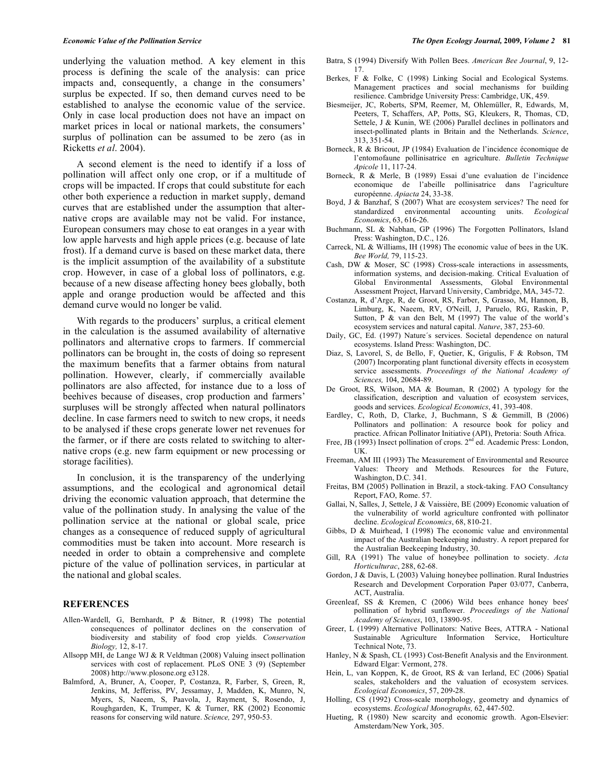underlying the valuation method. A key element in this process is defining the scale of the analysis: can price impacts and, consequently, a change in the consumers' surplus be expected. If so, then demand curves need to be established to analyse the economic value of the service. Only in case local production does not have an impact on market prices in local or national markets, the consumers' surplus of pollination can be assumed to be zero (as in Ricketts *et al*. 2004).

 A second element is the need to identify if a loss of pollination will affect only one crop, or if a multitude of crops will be impacted. If crops that could substitute for each other both experience a reduction in market supply, demand curves that are established under the assumption that alternative crops are available may not be valid. For instance, European consumers may chose to eat oranges in a year with low apple harvests and high apple prices (e.g. because of late frost). If a demand curve is based on these market data, there is the implicit assumption of the availability of a substitute crop. However, in case of a global loss of pollinators, e.g. because of a new disease affecting honey bees globally, both apple and orange production would be affected and this demand curve would no longer be valid.

 With regards to the producers' surplus, a critical element in the calculation is the assumed availability of alternative pollinators and alternative crops to farmers. If commercial pollinators can be brought in, the costs of doing so represent the maximum benefits that a farmer obtains from natural pollination. However, clearly, if commercially available pollinators are also affected, for instance due to a loss of beehives because of diseases, crop production and farmers' surpluses will be strongly affected when natural pollinators decline. In case farmers need to switch to new crops, it needs to be analysed if these crops generate lower net revenues for the farmer, or if there are costs related to switching to alternative crops (e.g. new farm equipment or new processing or storage facilities).

 In conclusion, it is the transparency of the underlying assumptions, and the ecological and agronomical detail driving the economic valuation approach, that determine the value of the pollination study. In analysing the value of the pollination service at the national or global scale, price changes as a consequence of reduced supply of agricultural commodities must be taken into account. More research is needed in order to obtain a comprehensive and complete picture of the value of pollination services, in particular at the national and global scales.

#### **REFERENCES**

- Allen-Wardell, G, Bernhardt, P & Bitner, R (1998) The potential consequences of pollinator declines on the conservation of biodiversity and stability of food crop yields. *Conservation Biology,* 12, 8-17.
- Allsopp MH, de Lange WJ & R Veldtman (2008) Valuing insect pollination services with cost of replacement. PLoS ONE 3 (9) (September 2008) http://www.plosone.org e3128.
- Balmford, A, Bruner, A, Cooper, P, Costanza, R, Farber, S, Green, R, Jenkins, M, Jefferiss, PV, Jessamay, J, Madden, K, Munro, N, Myers, S, Naeem, S, Paavola, J, Rayment, S, Rosendo, J, Roughgarden, K, Trumper, K & Turner, RK (2002) Economic reasons for conserving wild nature. *Science,* 297, 950-53.
- Batra, S (1994) Diversify With Pollen Bees. *American Bee Journal*, 9, 12- 17.
- Berkes, F & Folke, C (1998) Linking Social and Ecological Systems. Management practices and social mechanisms for building resilience. Cambridge University Press: Cambridge, UK, 459.
- Biesmeijer, JC, Roberts, SPM, Reemer, M, Ohlemüller, R, Edwards, M, Peeters, T, Schaffers, AP, Potts, SG, Kleukers, R, Thomas, CD, Settele, J & Kunin, WE (2006) Parallel declines in pollinators and insect-pollinated plants in Britain and the Netherlands. *Science*, 313, 351-54.
- Borneck, R & Bricout, JP (1984) Evaluation de l'incidence économique de l'entomofaune pollinisatrice en agriculture. *Bulletin Technique Apicole* 11, 117-24.
- Borneck, R & Merle, B (1989) Essai d'une evaluation de l'incidence economique de l'abeille pollinisatrice dans l'agriculture européenne. *Apiacta* 24, 33-38.
- Boyd, J & Banzhaf, S (2007) What are ecosystem services? The need for standardized environmental accounting units. *Ecological Economics*, 63, 616-26.
- Buchmann, SL & Nabhan, GP (1996) The Forgotten Pollinators, Island Press: Washington, D.C., 126.
- Carreck, NL & Williams, IH (1998) The economic value of bees in the UK. *Bee World,* 79, 115-23.
- Cash, DW & Moser, SC (1998) Cross-scale interactions in assessments, information systems, and decision-making. Critical Evaluation of Global Environmental Assessments, Global Environmental Assessment Project, Harvard University, Cambridge, MA, 345-72.
- Costanza, R, d'Arge, R, de Groot, RS, Farber, S, Grasso, M, Hannon, B, Limburg, K, Naeem, RV, O'Neill, J, Paruelo, RG, Raskin, P, Sutton, P & van den Belt, M (1997) The value of the world's ecosystem services and natural capital. *Nature*, 387, 253-60.
- Daily, GC, Ed. (1997) Nature´s services. Societal dependence on natural ecosystems. Island Press: Washington, DC.
- Diaz, S, Lavorel, S, de Bello, F, Quetier, K, Grigulis, F & Robson, TM (2007) Incorporating plant functional diversity effects in ecosystem service assessments. *Proceedings of the National Academy of Sciences,* 104, 20684-89.
- De Groot, RS, Wilson, MA & Bouman, R (2002) A typology for the classification, description and valuation of ecosystem services, goods and services. *Ecological Economics*, 41, 393-408.
- Eardley, C, Roth, D, Clarke, J, Buchmann, S & Gemmill, B (2006) Pollinators and pollination: A resource book for policy and practice. African Pollinator Initiative (API), Pretoria: South Africa.
- Free, JB (1993) Insect pollination of crops.  $2<sup>nd</sup>$  ed. Academic Press: London, UK.
- Freeman, AM III (1993) The Measurement of Environmental and Resource Values: Theory and Methods. Resources for the Future, Washington, D.C. 341.
- Freitas, BM (2005) Pollination in Brazil, a stock-taking. FAO Consultancy Report, FAO, Rome. 57.
- Gallai, N, Salles, J, Settele, J & Vaissière, BE (2009) Economic valuation of the vulnerability of world agriculture confronted with pollinator decline. *Ecological Economics*, 68, 810-21.
- Gibbs, D & Muirhead, I (1998) The economic value and environmental impact of the Australian beekeeping industry. A report prepared for the Australian Beekeeping Industry, 30.
- Gill, RA (1991) The value of honeybee pollination to society. *Acta Horticulturac*, 288, 62-68.
- Gordon, J & Davis, L (2003) Valuing honeybee pollination. Rural Industries Research and Development Corporation Paper 03/077, Canberra, ACT, Australia.
- Greenleaf, SS & Kremen, C (2006) Wild bees enhance honey bees' pollination of hybrid sunflower. *Proceedings of the National Academy of Sciences*, 103, 13890-95.
- Greer, L (1999) Alternative Pollinators: Native Bees, ATTRA National Sustainable Agriculture Information Service, Horticulture Technical Note, 73.
- Hanley, N & Spash, CL (1993) Cost-Benefit Analysis and the Environment. Edward Elgar: Vermont, 278.
- Hein, L, van Koppen, K, de Groot, RS & van Ierland, EC (2006) Spatial scales, stakeholders and the valuation of ecosystem services. *Ecological Economics*, 57, 209-28.
- Holling, CS (1992) Cross-scale morphology, geometry and dynamics of ecosystems. *Ecological Monographs,* 62, 447-502.
- Hueting, R (1980) New scarcity and economic growth. Agon-Elsevier: Amsterdam/New York, 305.